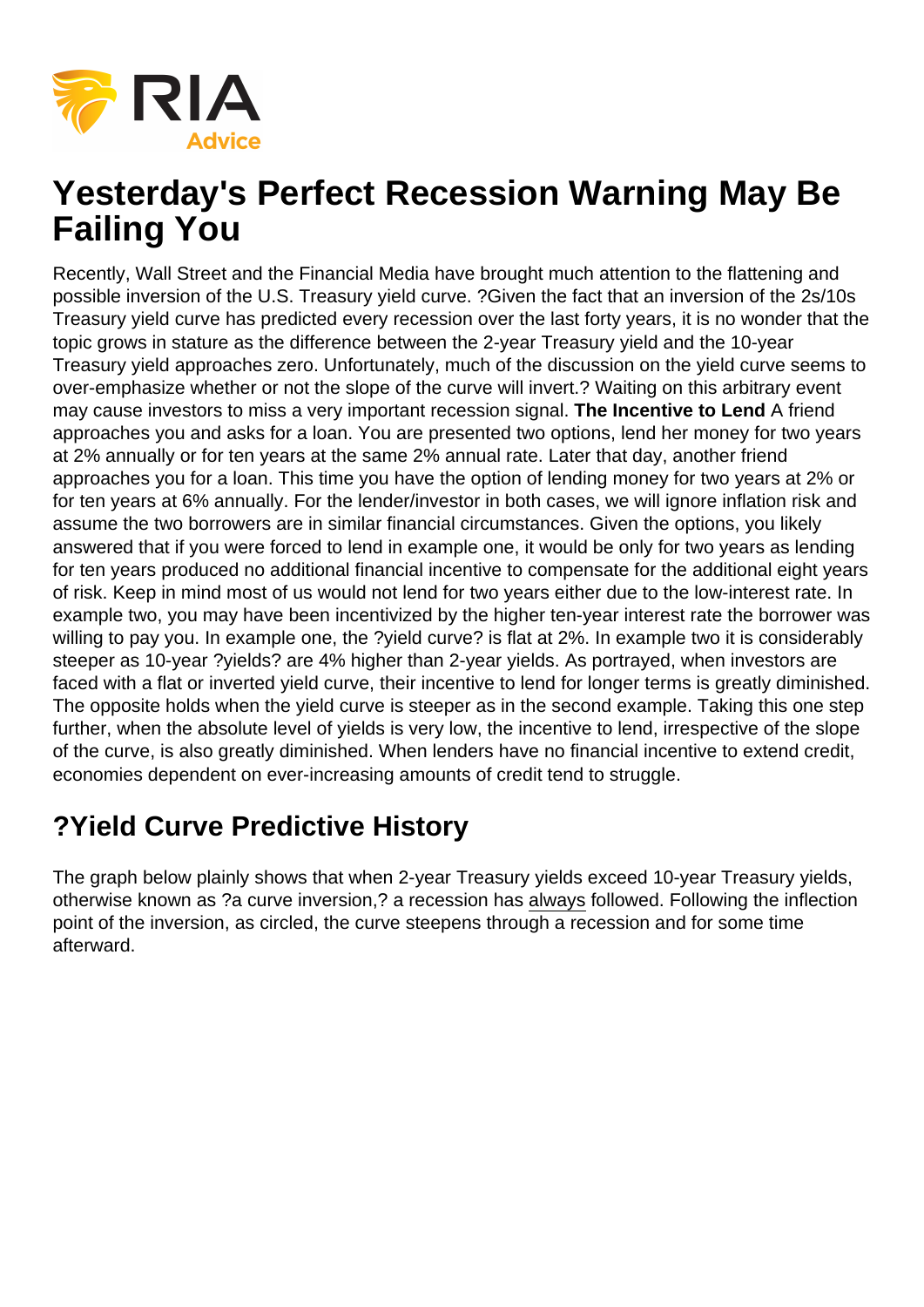

## **Yesterday's Perfect Recession Warning May Be Failing You**

Recently, Wall Street and the Financial Media have brought much attention to the flattening and possible inversion of the U.S. Treasury yield curve. ?Given the fact that an inversion of the 2s/10s Treasury yield curve has predicted every recession over the last forty years, it is no wonder that the topic grows in stature as the difference between the 2-year Treasury yield and the 10-year Treasury yield approaches zero. Unfortunately, much of the discussion on the yield curve seems to over-emphasize whether or not the slope of the curve will invert.? Waiting on this arbitrary event may cause investors to miss a very important recession signal. **The Incentive to Lend** A friend approaches you and asks for a loan. You are presented two options, lend her money for two years at 2% annually or for ten years at the same 2% annual rate. Later that day, another friend approaches you for a loan. This time you have the option of lending money for two years at 2% or for ten years at 6% annually. For the lender/investor in both cases, we will ignore inflation risk and assume the two borrowers are in similar financial circumstances. Given the options, you likely answered that if you were forced to lend in example one, it would be only for two years as lending for ten years produced no additional financial incentive to compensate for the additional eight years of risk. Keep in mind most of us would not lend for two years either due to the low-interest rate. In example two, you may have been incentivized by the higher ten-year interest rate the borrower was willing to pay you. In example one, the ?yield curve? is flat at 2%. In example two it is considerably steeper as 10-year ?yields? are 4% higher than 2-year yields. As portrayed, when investors are faced with a flat or inverted yield curve, their incentive to lend for longer terms is greatly diminished. The opposite holds when the yield curve is steeper as in the second example. Taking this one step further, when the absolute level of yields is very low, the incentive to lend, irrespective of the slope of the curve, is also greatly diminished. When lenders have no financial incentive to extend credit, economies dependent on ever-increasing amounts of credit tend to struggle.

## **?Yield Curve Predictive History**

The graph below plainly shows that when 2-year Treasury yields exceed 10-year Treasury yields, otherwise known as ?a curve inversion,? a recession has always followed. Following the inflection point of the inversion, as circled, the curve steepens through a recession and for some time afterward.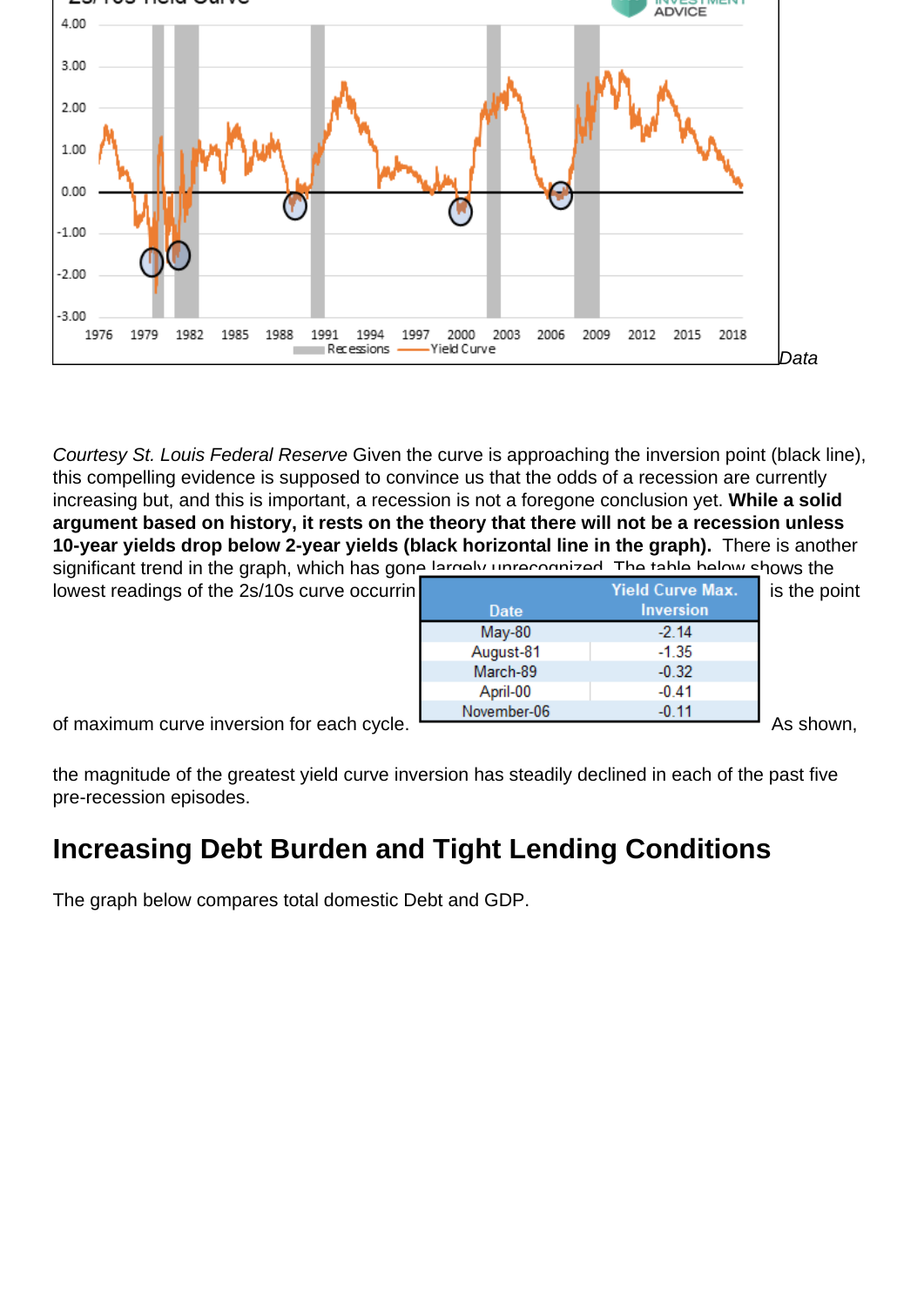

Courtesy St. Louis Federal Reserve Given the curve is approaching the inversion point (black line), this compelling evidence is supposed to convince us that the odds of a recession are currently increasing but, and this is important, a recession is not a foregone conclusion yet. **While a solid argument based on history, it rests on the theory that there will not be a recession unless 10-year yields drop below 2-year yields (black horizontal line in the graph).** There is another significant trend in the graph, which has gone largely unrecognized. The table below shows the

| lowest readings of the 2s/10s curve occurrin |             | <b>Yield Curve Max.</b> | is the point      |
|----------------------------------------------|-------------|-------------------------|-------------------|
|                                              | Date        | <b>Inversion</b>        |                   |
|                                              | $May-80$    | $-2.14$                 |                   |
|                                              | August-81   | $-1.35$                 |                   |
|                                              | March-89    | $-0.32$                 |                   |
|                                              | April-00    | $-0.41$                 |                   |
|                                              | November-06 | $-0.11$                 |                   |
| of movimum ourse inversion for each ovale    |             |                         | $\Lambda$ o oboun |

of maximum curve inversion for each cycle. **As shown**, the state of maximum curve inversion for each cycle.

the magnitude of the greatest yield curve inversion has steadily declined in each of the past five pre-recession episodes.

## **Increasing Debt Burden and Tight Lending Conditions**

The graph below compares total domestic Debt and GDP.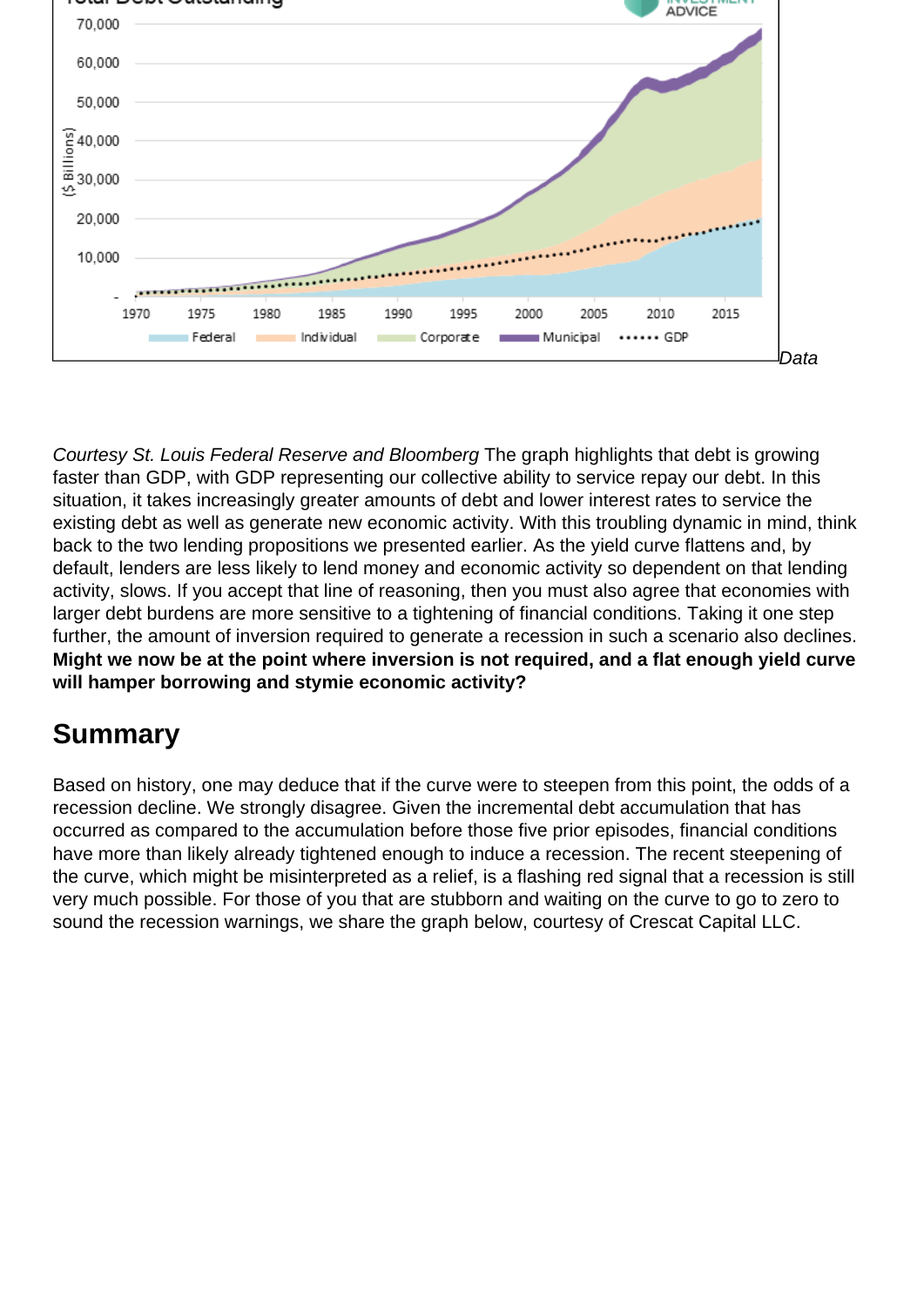

Courtesy St. Louis Federal Reserve and Bloomberg The graph highlights that debt is growing faster than GDP, with GDP representing our collective ability to service repay our debt. In this situation, it takes increasingly greater amounts of debt and lower interest rates to service the existing debt as well as generate new economic activity. With this troubling dynamic in mind, think back to the two lending propositions we presented earlier. As the yield curve flattens and, by default, lenders are less likely to lend money and economic activity so dependent on that lending activity, slows. If you accept that line of reasoning, then you must also agree that economies with larger debt burdens are more sensitive to a tightening of financial conditions. Taking it one step further, the amount of inversion required to generate a recession in such a scenario also declines. **Might we now be at the point where inversion is not required, and a flat enough yield curve will hamper borrowing and stymie economic activity?**

## **Summary**

Based on history, one may deduce that if the curve were to steepen from this point, the odds of a recession decline. We strongly disagree. Given the incremental debt accumulation that has occurred as compared to the accumulation before those five prior episodes, financial conditions have more than likely already tightened enough to induce a recession. The recent steepening of the curve, which might be misinterpreted as a relief, is a flashing red signal that a recession is still very much possible. For those of you that are stubborn and waiting on the curve to go to zero to sound the recession warnings, we share the graph below, courtesy of Crescat Capital LLC.